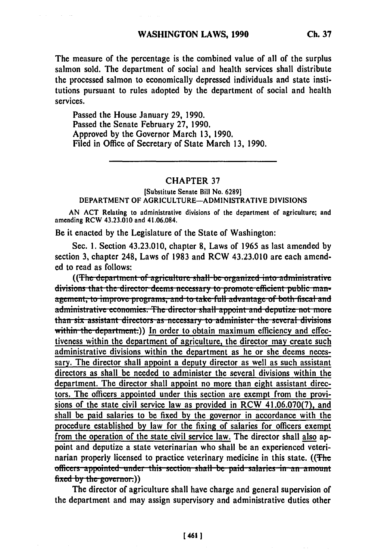The measure of the percentage is the combined value of all of the surplus salmon sold. The department of social and health services shall distribute the processed salmon to economically depressed individuals and state institutions pursuant to rules adopted by the department of social and health services.

Passed the House January 29, 1990. Passed the Senate February 27, 1990. Approved by the Governor March 13, 1990. Filed in Office of Secretary of State March 13, 1990.

## **CHAPTER 37**

[Substitute Senate Bill No. 6289] DEPARTMENT OF AGRICULTURE-ADMINISTRATIVE DIVISIONS

AN ACT Relating to administrative divisions of the department of agriculture; and amending RCW 43.23.010 and 41.06.084.

Be it enacted by the Legislature of the State of Washington:

Sec. 1. Section 43.23.010, chapter 8, Laws of 1965 as last amended by section 3, chapter 248, Laws of 1983 and RCW 43.23.010 are each amended to read as follows:

((The department of agriculture shall-be organized into administrative) divisions that the director deems necessary to promote efficient public management, to improve programs, and to take full advantage of both fiscal and administrative economies. The director shall appoint and deputize not more than six assistant directors as necessary to administer the several divisions within the department.)) In order to obtain maximum efficiency and effectiveness within the department of agriculture, the director may create such administrative divisions within the department as he or she deems necessary. The director shall appoint a deputy director as well as such assistant directors as shall be needed to administer the several divisions within the department. The director shall appoint no more than eight assistant directors. The officers appointed under this section are exempt from the provisions of the state civil service law as provided in RCW 41.06.070(7), and shall be paid salaries to be fixed by the governor in accordance with the procedure established by law for the fixing of salaries for officers exempt from the operation of the state civil service law. The director shall also appoint and deputize a state veterinarian who shall be an experienced veterinarian properly licensed to practice veterinary medicine in this state. ((The officers appointed under this section shall be paid salaries in an amount  $fixed$  by the governor.)

The director of agriculture shall have charge and general supervision of the department and may assign supervisory and administrative duties other